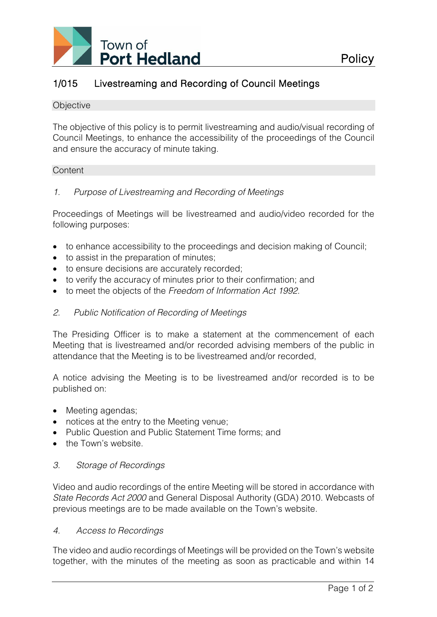

# 1/015 Livestreaming and Recording of Council Meetings

#### **Objective**

The objective of this policy is to permit livestreaming and audio/visual recording of Council Meetings, to enhance the accessibility of the proceedings of the Council and ensure the accuracy of minute taking.

#### **Content**

*1. Purpose of Livestreaming and Recording of Meetings*

Proceedings of Meetings will be livestreamed and audio/video recorded for the following purposes:

- to enhance accessibility to the proceedings and decision making of Council;
- to assist in the preparation of minutes;
- to ensure decisions are accurately recorded;
- to verify the accuracy of minutes prior to their confirmation; and
- to meet the objects of the *Freedom of Information Act 1992*.

## *2. Public Notification of Recording of Meetings*

The Presiding Officer is to make a statement at the commencement of each Meeting that is livestreamed and/or recorded advising members of the public in attendance that the Meeting is to be livestreamed and/or recorded,

A notice advising the Meeting is to be livestreamed and/or recorded is to be published on:

- Meeting agendas;
- notices at the entry to the Meeting venue;
- Public Question and Public Statement Time forms; and
- the Town's website.

# *3. Storage of Recordings*

Video and audio recordings of the entire Meeting will be stored in accordance with *State Records Act 2000* and General Disposal Authority (GDA) 2010. Webcasts of previous meetings are to be made available on the Town's website.

## *4. Access to Recordings*

The video and audio recordings of Meetings will be provided on the Town's website together, with the minutes of the meeting as soon as practicable and within 14